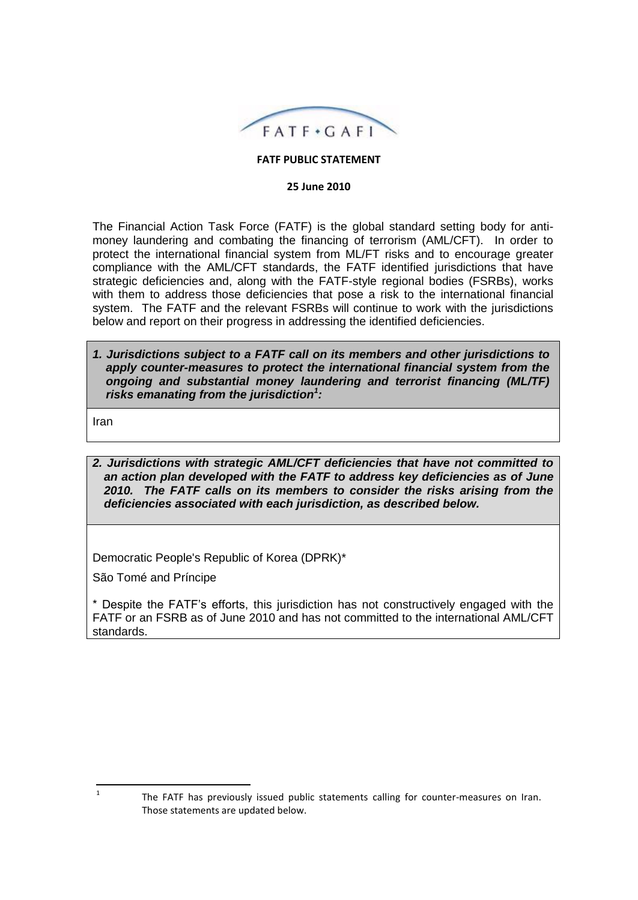

### **FATF PUBLIC STATEMENT**

#### **25 June 2010**

The Financial Action Task Force (FATF) is the global standard setting body for antimoney laundering and combating the financing of terrorism (AML/CFT). In order to protect the international financial system from ML/FT risks and to encourage greater compliance with the AML/CFT standards, the FATF identified jurisdictions that have strategic deficiencies and, along with the FATF-style regional bodies (FSRBs), works with them to address those deficiencies that pose a risk to the international financial system. The FATF and the relevant FSRBs will continue to work with the jurisdictions below and report on their progress in addressing the identified deficiencies.

*1. Jurisdictions subject to a FATF call on its members and other jurisdictions to apply counter-measures to protect the international financial system from the ongoing and substantial money laundering and terrorist financing (ML/TF) risks emanating from the jurisdiction<sup>1</sup> :*

Iran

*2. Jurisdictions with strategic AML/CFT deficiencies that have not committed to an action plan developed with the FATF to address key deficiencies as of June 2010. The FATF calls on its members to consider the risks arising from the deficiencies associated with each jurisdiction, as described below.* 

Democratic People's Republic of Korea (DPRK)\*

São Tomé and Príncipe

\* Despite the FATF's efforts, this jurisdiction has not constructively engaged with the FATF or an FSRB as of June 2010 and has not committed to the international AML/CFT standards.

 $\overline{\phantom{a}}$ 1

The FATF has previously issued public statements calling for counter-measures on Iran. Those statements are updated below.